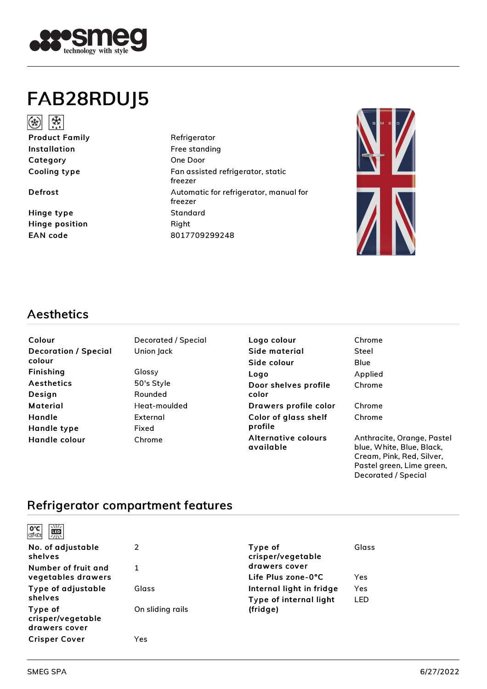

# FAB28RDUJ5



Product Family Refrigerator Installation **Free** standing Category One Door

Hinge type Standard Hinge position Right

Cooling type Fan assisted refrigerator, static freezer Defrost **Defrost** Automatic for refrigerator, manual for freezer EAN code 8017709299248



## Aesthetics

| Colour                      |
|-----------------------------|
| <b>Decoration / Special</b> |
| colour                      |
| Finishing                   |
| <b>Aesthetics</b>           |
| Design                      |
| Material                    |
| Handle                      |
| Handle type                 |
| Handle colour               |

Decorated / Special Union Jack Glossy 50's Style Rounded Heat-moulded External Fixed Chrome

Logo colour Side material Side colour Logo Door shelves profile color Drawers profile color Color of glass shelf profile Alternative colours available

| Chrome  |  |
|---------|--|
| Steel   |  |
| Blue    |  |
| Applied |  |
| Chrome  |  |
|         |  |
| Chrome  |  |
| Chrome  |  |

Anthracite, Orange, Pastel blue, White, Blue, Black, Cream, Pink, Red, Silver, Pastel green, Lime green, Decorated / Special

## Refrigerator compartment features

| $\frac{1}{2}$<br>ී<br>ග්ර<br>黑 |                  |                              |       |
|--------------------------------|------------------|------------------------------|-------|
| No. of adjustable<br>shelves   | 2                | Type of<br>crisper/vegetable | Glass |
| Number of fruit and            | $\mathbf{1}$     | drawers cover                |       |
| vegetables drawers             |                  | Life Plus zone-0°C           | Yes   |
| Type of adjustable             | Glass            | Internal light in fridge     | Yes   |
| shelves                        |                  | Type of internal light       | LED   |
| Type of                        | On sliding rails | (fridge)                     |       |
| crisper/vegetable              |                  |                              |       |
| drawers cover                  |                  |                              |       |
| <b>Crisper Cover</b>           | Yes              |                              |       |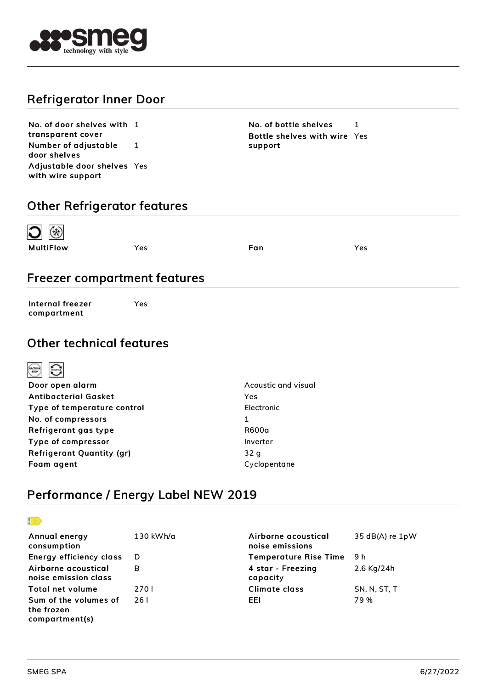

## Refrigerator Inner Door

No. of door shelves with 1 transparent cover Number of adjustable door shelves 1 Adjustable door shelves Yes with wire support

No. of bottle shelves 1 Bottle shelves with wire Yes support

## Other Refrigerator features

| ④ C       |     |     |     |
|-----------|-----|-----|-----|
| MultiFlow | Yes | Fan | Yes |

## Freezer compartment features

Internal freezer compartment

Yes

#### Other technical features



| Door open alarm                  | Acoustic and visual |
|----------------------------------|---------------------|
| <b>Antibacterial Gasket</b>      | Yes                 |
| Type of temperature control      | Electronic          |
| No. of compressors               | 1                   |
| Refrigerant gas type             | R600a               |
| Type of compressor               | Inverter            |
| <b>Refrigerant Quantity (gr)</b> | 32 q                |
| Foam agent                       | Cyclopentane        |
|                                  |                     |

## Performance / Energy Label NEW 2019



| Annual energy<br>consumption                          | 130 kWh/a | Airborne acoustical<br>noise emissions | $35$ dB(A) re $1pW$ |
|-------------------------------------------------------|-----------|----------------------------------------|---------------------|
| Energy efficiency class                               | - D       | <b>Temperature Rise Time</b>           | - 9 h               |
| Airborne acoustical<br>noise emission class           | B         | 4 star - Freezing<br>capacity          | 2.6 Kg/24h          |
| <b>Total net volume</b>                               | 270 L     | Climate class                          | SN, N, ST, T        |
| Sum of the volumes of<br>the frozen<br>compartment(s) | 26 I      | EEL                                    | 79%                 |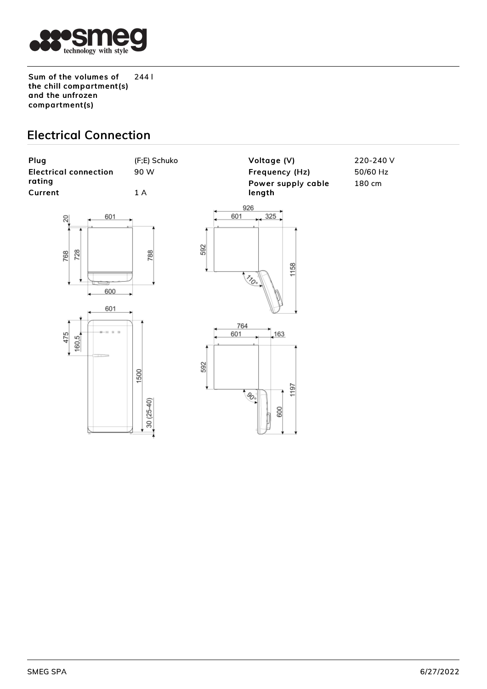

Sum of the volumes of the chill compartment(s) and the unfrozen compartment(s) 244 l

## Electrical Connection

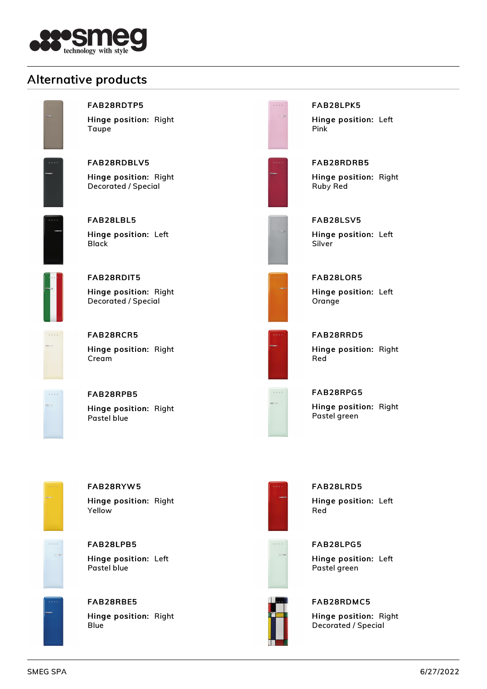![](_page_3_Picture_0.jpeg)

## Alternative products

![](_page_3_Picture_2.jpeg)

#### FAB28RDTP5

Hinge position: Right Taupe

![](_page_3_Picture_5.jpeg)

FAB28RDBLV5 Hinge position: Right Decorated / Special

![](_page_3_Picture_7.jpeg)

FAB28LBL5 Hinge position: Left Black

![](_page_3_Picture_9.jpeg)

FAB28RDIT5 Hinge position: Right Decorated / Special

FAB28RCR5

**Cream** 

![](_page_3_Picture_11.jpeg)

FAB28RPB5

Hinge position: Right

Hinge position: Right Pastel blue

![](_page_3_Picture_14.jpeg)

FAB28RDRB5 Hinge position: Right Ruby Red

Hinge position: Left

FAB28LPK5

Pink

Hinge position: Left Silver

| _____ |               |                       |  |
|-------|---------------|-----------------------|--|
|       | <b>B.M.R.</b> |                       |  |
|       |               |                       |  |
|       |               |                       |  |
|       |               |                       |  |
|       |               | <b>Contract State</b> |  |
|       |               |                       |  |
|       |               |                       |  |
|       |               |                       |  |
|       |               |                       |  |
|       |               |                       |  |

FAB28LOR5 Hinge position: Left **Orange** 

![](_page_3_Picture_20.jpeg)

FAB28RRD5 Hinge position: Right Red

|   | 8 N E B |  |
|---|---------|--|
|   |         |  |
| ٠ |         |  |
|   |         |  |
|   |         |  |
|   |         |  |

FAB28RPG5

Hinge position: Right Pastel green

![](_page_3_Picture_25.jpeg)

### FAB28RYW5 Hinge position: Right

Yellow

![](_page_3_Picture_28.jpeg)

FAB28LPB5 Hinge position: Left Pastel blue

![](_page_3_Picture_30.jpeg)

# FAB28RBE5

Hinge position: Right Blue

![](_page_3_Picture_33.jpeg)

FAB28LRD5 Hinge position: Left Red

![](_page_3_Picture_35.jpeg)

![](_page_3_Picture_36.jpeg)

![](_page_3_Picture_37.jpeg)

#### FAB28RDMC5

Hinge position: Right Decorated / Special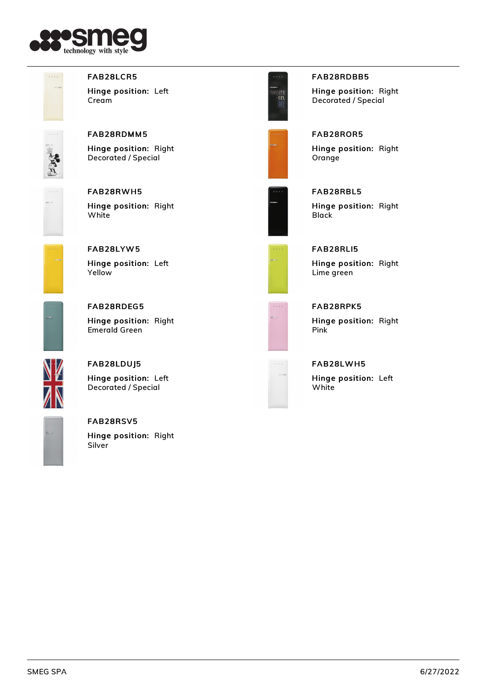![](_page_4_Picture_0.jpeg)

![](_page_4_Picture_1.jpeg)

#### FAB28LCR5

Hinge position: Left Cream

![](_page_4_Picture_4.jpeg)

## FAB28RDMM5

Hinge position: Right Decorated / Special

![](_page_4_Picture_7.jpeg)

#### FAB28RWH5 Hinge position: Right **White**

![](_page_4_Picture_9.jpeg)

#### FAB28LYW5 Hinge position: Left Yellow

## FAB28LDUJ5

FAB28RDEG5

Emerald Green

Hinge position: Left Decorated / Special

Hinge position: Right

![](_page_4_Figure_14.jpeg)

#### FAB28RSV5

Hinge position: Right Silver

![](_page_4_Picture_17.jpeg)

#### FAB28RDBB5

Hinge position: Right Decorated / Special

![](_page_4_Picture_20.jpeg)

# FAB28ROR5

Hinge position: Right Orange

![](_page_4_Picture_23.jpeg)

# FAB28RBL5

Hinge position: Right **Black** 

![](_page_4_Picture_26.jpeg)

#### FAB28RLI5 Hinge position: Right

Lime green

![](_page_4_Picture_29.jpeg)

# FAB28RPK5

Hinge position: Right Pink

#### FAB28LWH5

Hinge position: Left **White**